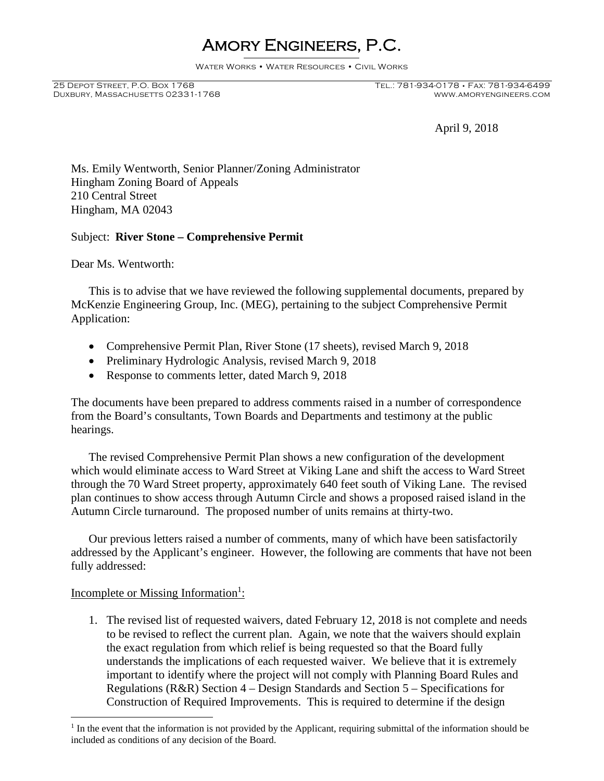# Amory Engineers, P.C.

Water Works • Water Resources • Civil Works

DUXBURY, MASSACHUSETTS 02331-1768

April 9, 2018

Ms. Emily Wentworth, Senior Planner/Zoning Administrator Hingham Zoning Board of Appeals 210 Central Street Hingham, MA 02043

## Subject: **River Stone – Comprehensive Permit**

Dear Ms. Wentworth:

This is to advise that we have reviewed the following supplemental documents, prepared by McKenzie Engineering Group, Inc. (MEG), pertaining to the subject Comprehensive Permit Application:

- Comprehensive Permit Plan, River Stone (17 sheets), revised March 9, 2018
- Preliminary Hydrologic Analysis, revised March 9, 2018
- Response to comments letter, dated March 9, 2018

The documents have been prepared to address comments raised in a number of correspondence from the Board's consultants, Town Boards and Departments and testimony at the public hearings.

The revised Comprehensive Permit Plan shows a new configuration of the development which would eliminate access to Ward Street at Viking Lane and shift the access to Ward Street through the 70 Ward Street property, approximately 640 feet south of Viking Lane. The revised plan continues to show access through Autumn Circle and shows a proposed raised island in the Autumn Circle turnaround. The proposed number of units remains at thirty-two.

Our previous letters raised a number of comments, many of which have been satisfactorily addressed by the Applicant's engineer. However, the following are comments that have not been fully addressed:

## Incomplete or Missing Information<sup>1</sup>:

1. The revised list of requested waivers, dated February 12, 2018 is not complete and needs to be revised to reflect the current plan. Again, we note that the waivers should explain the exact regulation from which relief is being requested so that the Board fully understands the implications of each requested waiver. We believe that it is extremely important to identify where the project will not comply with Planning Board Rules and Regulations (R&R) Section 4 – Design Standards and Section 5 – Specifications for Construction of Required Improvements. This is required to determine if the design

<sup>&</sup>lt;sup>1</sup> In the event that the information is not provided by the Applicant, requiring submittal of the information should be included as conditions of any decision of the Board.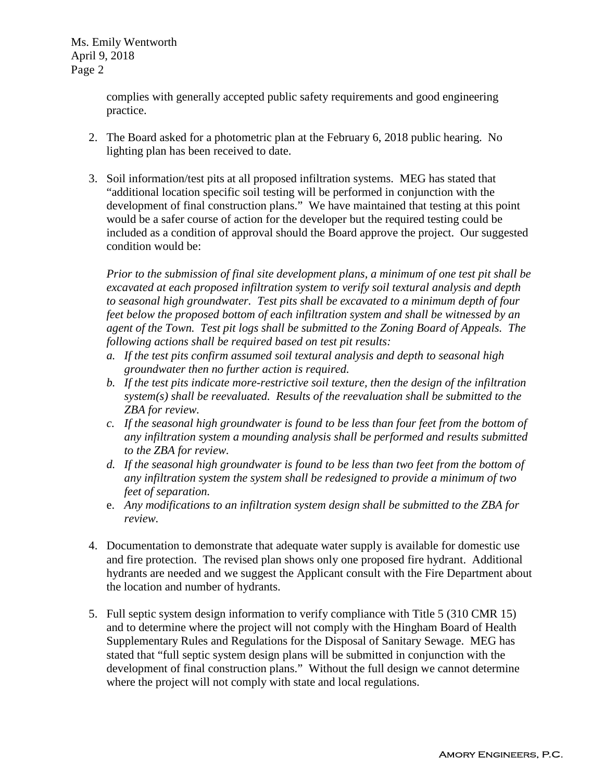Ms. Emily Wentworth April 9, 2018 Page 2

> complies with generally accepted public safety requirements and good engineering practice.

- 2. The Board asked for a photometric plan at the February 6, 2018 public hearing. No lighting plan has been received to date.
- 3. Soil information/test pits at all proposed infiltration systems. MEG has stated that "additional location specific soil testing will be performed in conjunction with the development of final construction plans." We have maintained that testing at this point would be a safer course of action for the developer but the required testing could be included as a condition of approval should the Board approve the project. Our suggested condition would be:

*Prior to the submission of final site development plans, a minimum of one test pit shall be excavated at each proposed infiltration system to verify soil textural analysis and depth to seasonal high groundwater. Test pits shall be excavated to a minimum depth of four feet below the proposed bottom of each infiltration system and shall be witnessed by an agent of the Town. Test pit logs shall be submitted to the Zoning Board of Appeals. The following actions shall be required based on test pit results:*

- *a. If the test pits confirm assumed soil textural analysis and depth to seasonal high groundwater then no further action is required.*
- *b. If the test pits indicate more-restrictive soil texture, then the design of the infiltration system(s) shall be reevaluated. Results of the reevaluation shall be submitted to the ZBA for review.*
- *c. If the seasonal high groundwater is found to be less than four feet from the bottom of any infiltration system a mounding analysis shall be performed and results submitted to the ZBA for review.*
- *d. If the seasonal high groundwater is found to be less than two feet from the bottom of any infiltration system the system shall be redesigned to provide a minimum of two feet of separation.*
- e. *Any modifications to an infiltration system design shall be submitted to the ZBA for review.*
- 4. Documentation to demonstrate that adequate water supply is available for domestic use and fire protection. The revised plan shows only one proposed fire hydrant. Additional hydrants are needed and we suggest the Applicant consult with the Fire Department about the location and number of hydrants.
- 5. Full septic system design information to verify compliance with Title 5 (310 CMR 15) and to determine where the project will not comply with the Hingham Board of Health Supplementary Rules and Regulations for the Disposal of Sanitary Sewage. MEG has stated that "full septic system design plans will be submitted in conjunction with the development of final construction plans." Without the full design we cannot determine where the project will not comply with state and local regulations.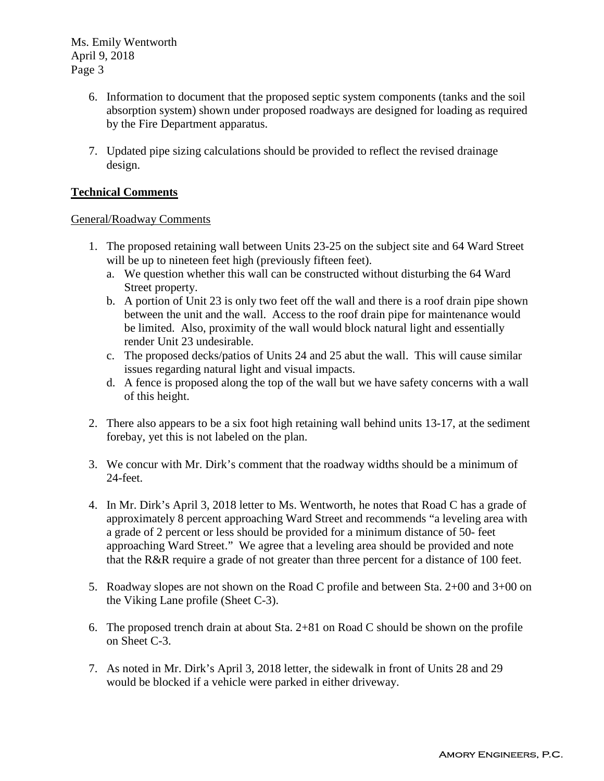Ms. Emily Wentworth April 9, 2018 Page 3

- 6. Information to document that the proposed septic system components (tanks and the soil absorption system) shown under proposed roadways are designed for loading as required by the Fire Department apparatus.
- 7. Updated pipe sizing calculations should be provided to reflect the revised drainage design.

# **Technical Comments**

#### General/Roadway Comments

- 1. The proposed retaining wall between Units 23-25 on the subject site and 64 Ward Street will be up to nineteen feet high (previously fifteen feet).
	- a. We question whether this wall can be constructed without disturbing the 64 Ward Street property.
	- b. A portion of Unit 23 is only two feet off the wall and there is a roof drain pipe shown between the unit and the wall. Access to the roof drain pipe for maintenance would be limited. Also, proximity of the wall would block natural light and essentially render Unit 23 undesirable.
	- c. The proposed decks/patios of Units 24 and 25 abut the wall. This will cause similar issues regarding natural light and visual impacts.
	- d. A fence is proposed along the top of the wall but we have safety concerns with a wall of this height.
- 2. There also appears to be a six foot high retaining wall behind units 13-17, at the sediment forebay, yet this is not labeled on the plan.
- 3. We concur with Mr. Dirk's comment that the roadway widths should be a minimum of 24-feet.
- 4. In Mr. Dirk's April 3, 2018 letter to Ms. Wentworth, he notes that Road C has a grade of approximately 8 percent approaching Ward Street and recommends "a leveling area with a grade of 2 percent or less should be provided for a minimum distance of 50- feet approaching Ward Street." We agree that a leveling area should be provided and note that the R&R require a grade of not greater than three percent for a distance of 100 feet.
- 5. Roadway slopes are not shown on the Road C profile and between Sta. 2+00 and 3+00 on the Viking Lane profile (Sheet C-3).
- 6. The proposed trench drain at about Sta. 2+81 on Road C should be shown on the profile on Sheet C-3.
- 7. As noted in Mr. Dirk's April 3, 2018 letter, the sidewalk in front of Units 28 and 29 would be blocked if a vehicle were parked in either driveway.